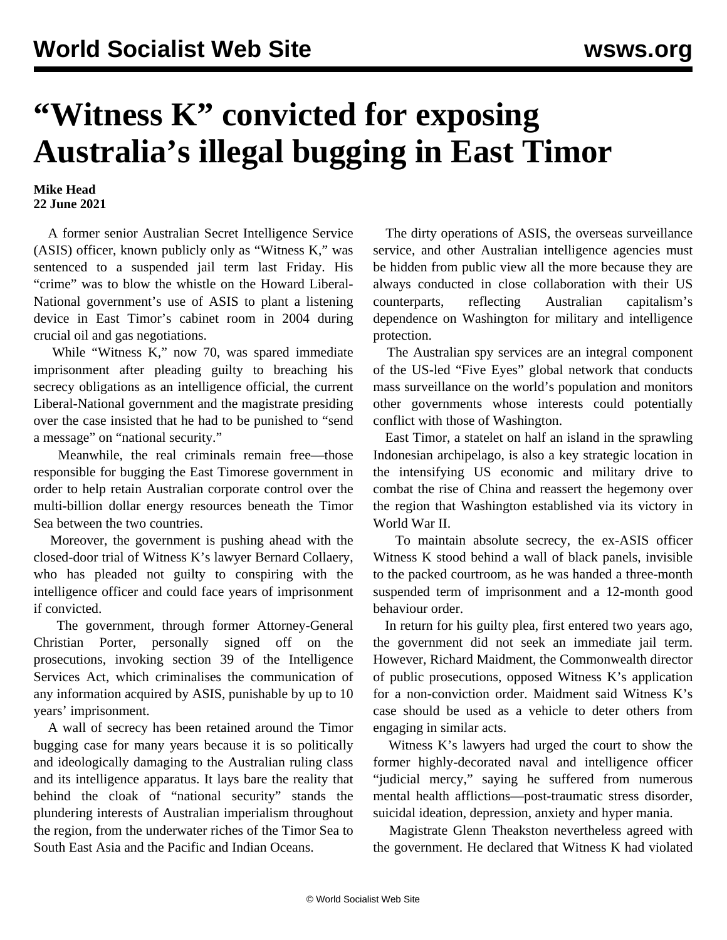## **"Witness K" convicted for exposing Australia's illegal bugging in East Timor**

## **Mike Head 22 June 2021**

 A former senior Australian Secret Intelligence Service (ASIS) officer, known publicly only as "Witness K," was sentenced to a suspended jail term last Friday. His "crime" was to blow the whistle on the Howard Liberal-National government's use of ASIS to plant a listening device in East Timor's cabinet room in 2004 during crucial oil and gas negotiations.

 While "Witness K," now 70, was spared immediate imprisonment after pleading guilty to breaching his secrecy obligations as an intelligence official, the current Liberal-National government and the magistrate presiding over the case insisted that he had to be punished to "send a message" on "national security."

 Meanwhile, the real criminals remain free—those responsible for bugging the East Timorese government in order to help retain Australian corporate control over the multi-billion dollar energy resources beneath the Timor Sea between the two countries.

 Moreover, the government is pushing ahead with the closed-door trial of Witness K's lawyer Bernard Collaery, who has pleaded not guilty to conspiring with the intelligence officer and could face years of imprisonment if convicted.

 The government, through former Attorney-General Christian Porter, personally signed off on the prosecutions, invoking section 39 of the Intelligence Services Act, which criminalises the communication of any information acquired by ASIS, punishable by up to 10 years' imprisonment.

 A wall of secrecy has been retained around the Timor bugging case for many years because it is so politically and ideologically damaging to the Australian ruling class and its intelligence apparatus. It lays bare the reality that behind the cloak of "national security" stands the plundering interests of Australian imperialism throughout the region, from the underwater riches of the Timor Sea to South East Asia and the Pacific and Indian Oceans.

 The dirty operations of ASIS, the overseas surveillance service, and other Australian intelligence agencies must be hidden from public view all the more because they are always conducted in close collaboration with their US counterparts, reflecting Australian capitalism's dependence on Washington for military and intelligence protection.

 The Australian spy services are an integral component of the US-led "Five Eyes" global network that conducts mass surveillance on the world's population and monitors other governments whose interests could potentially conflict with those of Washington.

 East Timor, a statelet on half an island in the sprawling Indonesian archipelago, is also a key strategic location in the intensifying US economic and military drive to combat the rise of China and reassert the hegemony over the region that Washington established via its victory in World War II.

 To maintain absolute secrecy, the ex-ASIS officer Witness K stood behind a wall of black panels, invisible to the packed courtroom, as he was handed a three-month suspended term of imprisonment and a 12-month good behaviour order.

 In return for his guilty plea, first entered two years ago, the government did not seek an immediate jail term. However, Richard Maidment, the Commonwealth director of public prosecutions, opposed Witness K's application for a non-conviction order. Maidment said Witness K's case should be used as a vehicle to deter others from engaging in similar acts.

 Witness K's lawyers had urged the court to show the former highly-decorated naval and intelligence officer "judicial mercy," saying he suffered from numerous mental health afflictions—post-traumatic stress disorder, suicidal ideation, depression, anxiety and hyper mania.

 Magistrate Glenn Theakston nevertheless agreed with the government. He declared that Witness K had violated